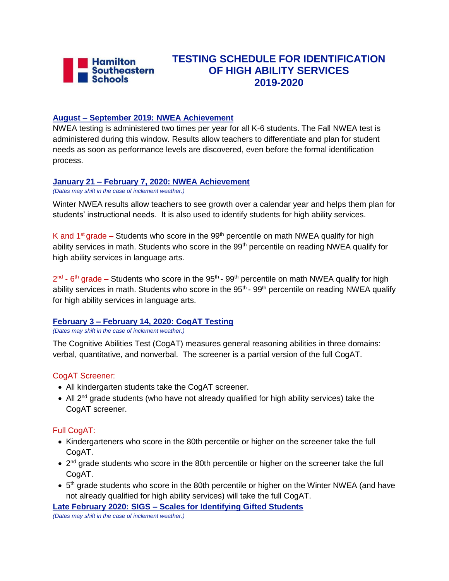

# **TESTING SCHEDULE FOR IDENTIFICATION OF HIGH ABILITY SERVICES 2019-2020**

### **August – September 2019: NWEA Achievement**

NWEA testing is administered two times per year for all K-6 students. The Fall NWEA test is administered during this window. Results allow teachers to differentiate and plan for student needs as soon as performance levels are discovered, even before the formal identification process.

### **January 21 – February 7, 2020: NWEA Achievement**

*(Dates may shift in the case of inclement weather.)*

Winter NWEA results allow teachers to see growth over a calendar year and helps them plan for students' instructional needs. It is also used to identify students for high ability services.

K and  $1<sup>st</sup>$  grade – Students who score in the 99<sup>th</sup> percentile on math NWEA qualify for high ability services in math. Students who score in the 99<sup>th</sup> percentile on reading NWEA qualify for high ability services in language arts.

 $2^{nd}$  - 6<sup>th</sup> grade – Students who score in the 95<sup>th</sup> - 99<sup>th</sup> percentile on math NWEA qualify for high ability services in math. Students who score in the  $95<sup>th</sup>$  -  $99<sup>th</sup>$  percentile on reading NWEA qualify for high ability services in language arts.

### **February 3 – February 14, 2020: CogAT Testing**

*(Dates may shift in the case of inclement weather.)*

The Cognitive Abilities Test (CogAT) measures general reasoning abilities in three domains: verbal, quantitative, and nonverbal. The screener is a partial version of the full CogAT.

### CogAT Screener:

- All kindergarten students take the CogAT screener.
- All  $2^{nd}$  grade students (who have not already qualified for high ability services) take the CogAT screener.

# Full CogAT:

- Kindergarteners who score in the 80th percentile or higher on the screener take the full CogAT.
- 2<sup>nd</sup> grade students who score in the 80th percentile or higher on the screener take the full CogAT.
- $\bullet$  5<sup>th</sup> grade students who score in the 80th percentile or higher on the Winter NWEA (and have not already qualified for high ability services) will take the full CogAT.

**Late February 2020: SIGS – Scales for Identifying Gifted Students**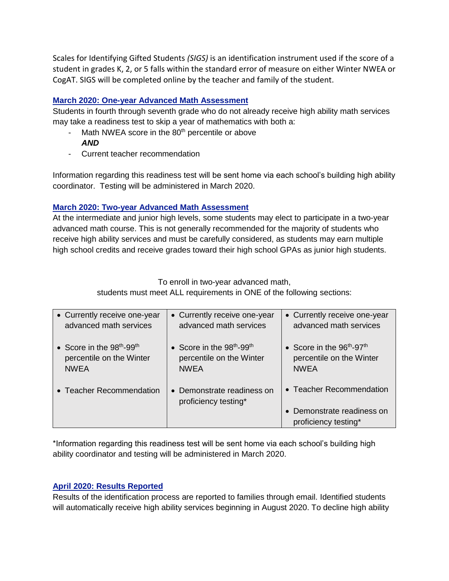Scales for Identifying Gifted Students *(SIGS)* is an identification instrument used if the score of a student in grades K, 2, or 5 falls within the standard error of measure on either Winter NWEA or CogAT. SIGS will be completed online by the teacher and family of the student.

### **March 2020: One-year Advanced Math Assessment**

Students in fourth through seventh grade who do not already receive high ability math services may take a readiness test to skip a year of mathematics with both a:

- Math NWEA score in the 80<sup>th</sup> percentile or above *AND*
- Current teacher recommendation

Information regarding this readiness test will be sent home via each school's building high ability coordinator. Testing will be administered in March 2020.

### **March 2020: Two-year Advanced Math Assessment**

At the intermediate and junior high levels, some students may elect to participate in a two-year advanced math course. This is not generally recommended for the majority of students who receive high ability services and must be carefully considered, as students may earn multiple high school credits and receive grades toward their high school GPAs as junior high students.

To enroll in two-year advanced math,

students must meet ALL requirements in ONE of the following sections:

| • Currently receive one-year            | • Currently receive one-year                       | • Currently receive one-year                     |
|-----------------------------------------|----------------------------------------------------|--------------------------------------------------|
| advanced math services                  | advanced math services                             | advanced math services                           |
| • Score in the $98th$ -99 <sup>th</sup> | • Score in the 98 <sup>th</sup> -99 <sup>th</sup>  | • Score in the $96th-97th$                       |
| percentile on the Winter                | percentile on the Winter                           | percentile on the Winter                         |
| <b>NWEA</b>                             | <b>NWEA</b>                                        | <b>NWEA</b>                                      |
| • Teacher Recommendation                | • Demonstrate readiness on<br>proficiency testing* | • Teacher Recommendation                         |
|                                         |                                                    | Demonstrate readiness on<br>proficiency testing* |

\*Information regarding this readiness test will be sent home via each school's building high ability coordinator and testing will be administered in March 2020.

# **April 2020: Results Reported**

Results of the identification process are reported to families through email. Identified students will automatically receive high ability services beginning in August 2020. To decline high ability